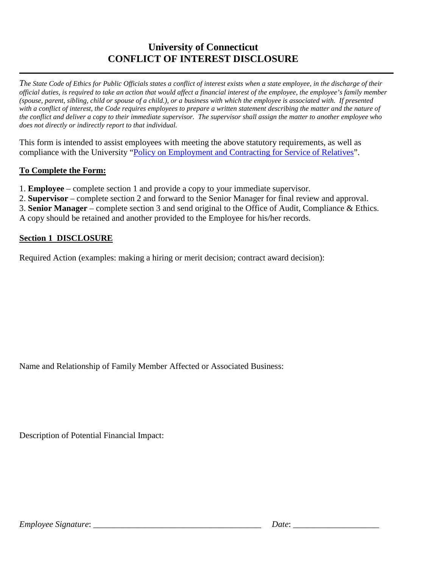# **University of Connecticut CONFLICT OF INTEREST DISCLOSURE**

*The State Code of Ethics for Public Officials states a conflict of interest exists when a state employee, in the discharge of their official duties, is required to take an action that would affect a financial interest of the employee, the employee's family member (spouse, parent, sibling, child or spouse of a child.), or a business with which the employee is associated with. If presented with a conflict of interest, the Code requires employees to prepare a written statement describing the matter and the nature of the conflict and deliver a copy to their immediate supervisor. The supervisor shall assign the matter to another employee who does not directly or indirectly report to that individual.*

This form is intended to assist employees with meeting the above statutory requirements, as well as compliance with the University ["Policy on Employment and Contracting for Service of Relatives"](http://policy.uconn.edu/?p=357).

## **To Complete the Form:**

- 1. **Employee** complete section 1 and provide a copy to your immediate supervisor.
- 2. **Supervisor** complete section 2 and forward to the Senior Manager for final review and approval.
- 3. **Senior Manager** complete section 3 and send original to the Office of Audit, Compliance & Ethics.

A copy should be retained and another provided to the Employee for his/her records.

## **Section 1 DISCLOSURE**

Required Action (examples: making a hiring or merit decision; contract award decision):

Name and Relationship of Family Member Affected or Associated Business:

Description of Potential Financial Impact: